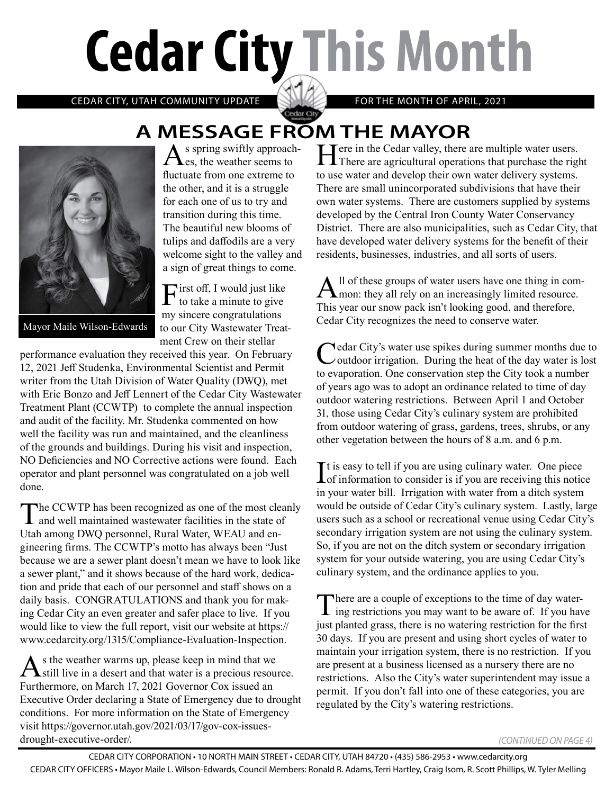# **Cedar City This Month**

CEDAR CITY, UTAH COMMUNITY UPDATE **ANYWAY** FOR THE MONTH OF APRIL, 2021

# **A MESSAGE FROM THE MAYOR**<br>A s spring swiftly approach- **T** Tere in the Cedar valley, there are multiple water users.

Cedar City



s spring swiftly approach-**Les.** the weather seems to fluctuate from one extreme to the other, and it is a struggle for each one of us to try and transition during this time. The beautiful new blooms of tulips and daffodils are a very welcome sight to the valley and a sign of great things to come.

 $\Gamma$ irst off, I would just like to take a minute to give my sincere congratulations to our City Wastewater Treatment Crew on their stellar

Mayor Maile Wilson-Edwards

performance evaluation they received this year. On February 12, 2021 Jeff Studenka, Environmental Scientist and Permit writer from the Utah Division of Water Quality (DWQ), met with Eric Bonzo and Jeff Lennert of the Cedar City Wastewater Treatment Plant (CCWTP) to complete the annual inspection and audit of the facility. Mr. Studenka commented on how well the facility was run and maintained, and the cleanliness of the grounds and buildings. During his visit and inspection, NO Deficiencies and NO Corrective actions were found. Each operator and plant personnel was congratulated on a job well done.

The CCWTP has been recognized as one of the most cleanly<br>and well maintained wastewater facilities in the state of Utah among DWQ personnel, Rural Water, WEAU and engineering firms. The CCWTP's motto has always been "Just because we are a sewer plant doesn't mean we have to look like a sewer plant," and it shows because of the hard work, dedication and pride that each of our personnel and staff shows on a daily basis. CONGRATULATIONS and thank you for making Cedar City an even greater and safer place to live. If you would like to view the full report, visit our website at https:// www.cedarcity.org/1315/Compliance-Evaluation-Inspection.

As the weather warms up, please keep in mind that we still live in a desert and that water is a precious resource. Furthermore, on March 17, 2021 Governor Cox issued an Executive Order declaring a State of Emergency due to drought conditions. For more information on the State of Emergency visit https://governor.utah.gov/2021/03/17/gov-cox-issuesdrought-executive-order/.

Here in the Cedar valley, there are multiple water users. There are agricultural operations that purchase the right to use water and develop their own water delivery systems. There are small unincorporated subdivisions that have their own water systems. There are customers supplied by systems developed by the Central Iron County Water Conservancy District. There are also municipalities, such as Cedar City, that have developed water delivery systems for the benefit of their residents, businesses, industries, and all sorts of users.

All of these groups of water users have one thing in com-<br>mon: they all rely on an increasingly limited resource. This year our snow pack isn't looking good, and therefore, Cedar City recognizes the need to conserve water.

Cedar City's water use spikes during summer months due to Coutdoor irrigation. During the heat of the day water is lost to evaporation. One conservation step the City took a number of years ago was to adopt an ordinance related to time of day outdoor watering restrictions. Between April 1 and October 31, those using Cedar City's culinary system are prohibited from outdoor watering of grass, gardens, trees, shrubs, or any other vegetation between the hours of 8 a.m. and 6 p.m.

It is easy to tell if you are using culinary water. One piece<br>of information to consider is if you are receiving this notice  $\blacksquare$  is easy to tell if you are using culinary water. One piece in your water bill. Irrigation with water from a ditch system would be outside of Cedar City's culinary system. Lastly, large users such as a school or recreational venue using Cedar City's secondary irrigation system are not using the culinary system. So, if you are not on the ditch system or secondary irrigation system for your outside watering, you are using Cedar City's culinary system, and the ordinance applies to you.

There are a couple of exceptions to the time of day water-<br>ing restrictions you may want to be aware of. If you have just planted grass, there is no watering restriction for the first 30 days. If you are present and using short cycles of water to maintain your irrigation system, there is no restriction. If you are present at a business licensed as a nursery there are no restrictions. Also the City's water superintendent may issue a permit. If you don't fall into one of these categories, you are regulated by the City's watering restrictions.

*(CONTINUED ON PAGE 4)*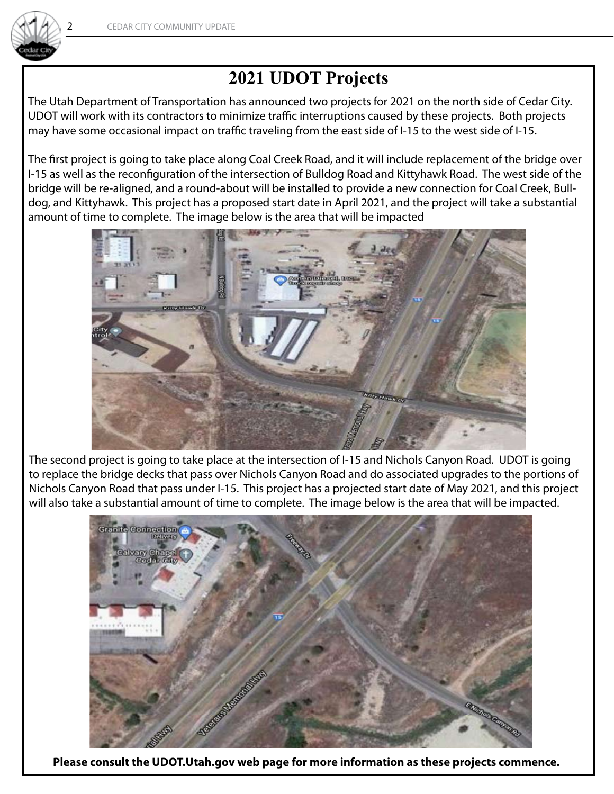

## **2021 UDOT Projects**

The Utah Department of Transportation has announced two projects for 2021 on the north side of Cedar City. UDOT will work with its contractors to minimize traffic interruptions caused by these projects. Both projects may have some occasional impact on traffic traveling from the east side of I-15 to the west side of I-15.

The first project is going to take place along Coal Creek Road, and it will include replacement of the bridge over I-15 as well as the reconfiguration of the intersection of Bulldog Road and Kittyhawk Road. The west side of the bridge will be re-aligned, and a round-about will be installed to provide a new connection for Coal Creek, Bulldog, and Kittyhawk. This project has a proposed start date in April 2021, and the project will take a substantial amount of time to complete. The image below is the area that will be impacted



The second project is going to take place at the intersection of I-15 and Nichols Canyon Road. UDOT is going to replace the bridge decks that pass over Nichols Canyon Road and do associated upgrades to the portions of Nichols Canyon Road that pass under I-15. This project has a projected start date of May 2021, and this project will also take a substantial amount of time to complete. The image below is the area that will be impacted.



**Please consult the UDOT.Utah.gov web page for more information as these projects commence.**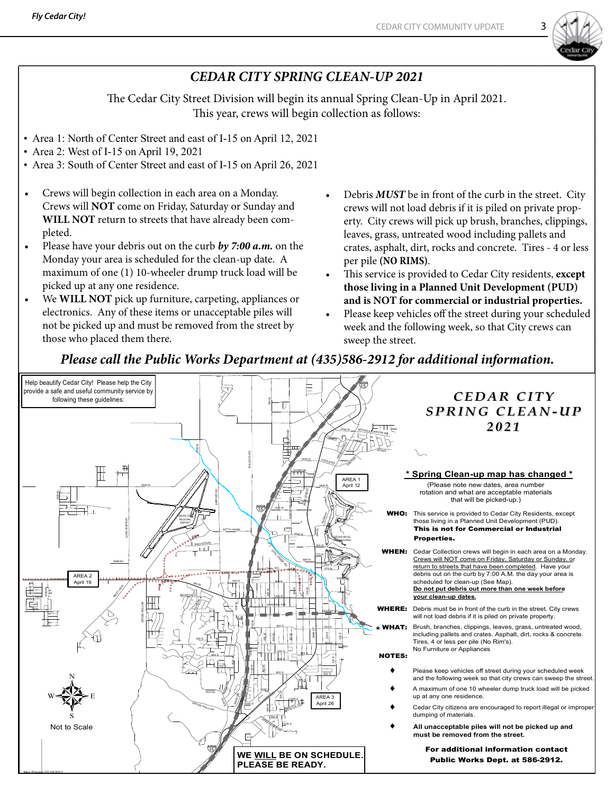

### *CEDAR CITY SPRING CLEAN-UP 2021*

The Cedar City Street Division will begin its annual Spring Clean-Up in April 2021. This year, crews will begin collection as follows:

- Area 1: North of Center Street and east of I-15 on April 12, 2021
- Area 2: West of I-15 on April 19, 2021
- Area 3: South of Center Street and east of I-15 on April 26, 2021
- Crews will begin collection in each area on a Monday. Crews will **NOT** come on Friday, Saturday or Sunday and **WILL NOT** return to streets that have already been completed.
- Please have your debris out on the curb by 7:00 a.m. on the Monday your area is scheduled for the clean-up date. A maximum of one (1) 10-wheeler drump truck load will be picked up at any one residence.
- We **WILL NOT** pick up furniture, carpeting, appliances or electronics. Any of these items or unacceptable piles will not be picked up and must be removed from the street by those who placed them there.
- Debris **MUST** be in front of the curb in the street. City crews will not load debris if it is piled on private property. City crews will pick up brush, branches, clippings, leaves, grass, untreated wood including pallets and crates, asphalt, dirt, rocks and concrete. Tires - 4 or less per pile **(NO RIMS)**.
- This service is provided to Cedar City residents, except **those living in a Planned Unit Development (PUD) and is NOT for commercial or industrial properties.**
- Please keep vehicles off the street during your scheduled week and the following week, so that City crews can sweep the street.

#### *Please call the Public Works Department at (435)586-2912 for additional information.*